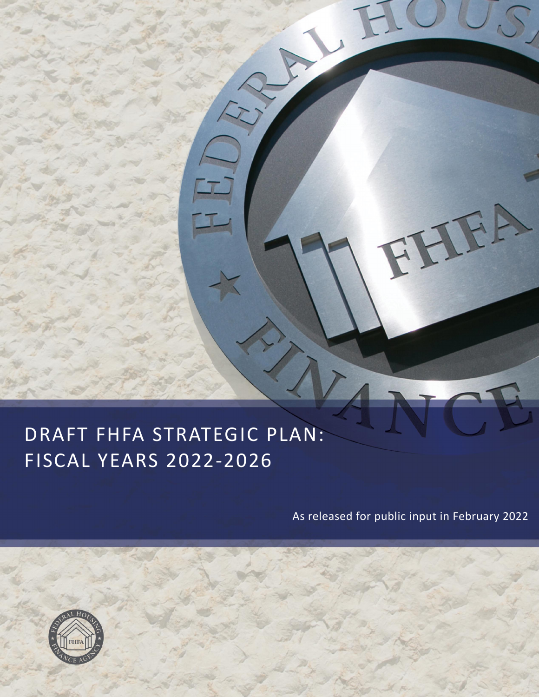### KALLITILA SIKALLUIC<br>ICCAL VEADC 2022 2024 SUAL ILANS ZUZZ-ZUZU DRAFT FHFA STRATEGIC PLAN: FISCAL YEARS 2022‐2026

As released for public input in February 2022

IFA



Controlled the Controlled States

L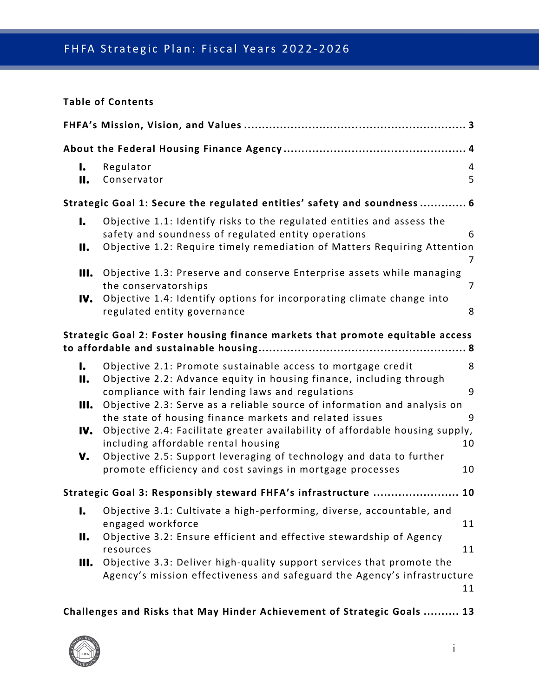#### **Table of Contents**

| I.<br>11.                                                                      | Regulator<br>Conservator                                                                                                                                                                                                                                                                                                                                                                                                                                                                                                                                                                   | 4<br>5                  |  |  |
|--------------------------------------------------------------------------------|--------------------------------------------------------------------------------------------------------------------------------------------------------------------------------------------------------------------------------------------------------------------------------------------------------------------------------------------------------------------------------------------------------------------------------------------------------------------------------------------------------------------------------------------------------------------------------------------|-------------------------|--|--|
| Strategic Goal 1: Secure the regulated entities' safety and soundness 6        |                                                                                                                                                                                                                                                                                                                                                                                                                                                                                                                                                                                            |                         |  |  |
| I.<br>11.                                                                      | Objective 1.1: Identify risks to the regulated entities and assess the<br>safety and soundness of regulated entity operations<br>Objective 1.2: Require timely remediation of Matters Requiring Attention                                                                                                                                                                                                                                                                                                                                                                                  | 6<br>7                  |  |  |
| Ш.<br>IV.                                                                      | Objective 1.3: Preserve and conserve Enterprise assets while managing<br>the conservatorships<br>Objective 1.4: Identify options for incorporating climate change into<br>regulated entity governance                                                                                                                                                                                                                                                                                                                                                                                      | 7<br>8                  |  |  |
| Strategic Goal 2: Foster housing finance markets that promote equitable access |                                                                                                                                                                                                                                                                                                                                                                                                                                                                                                                                                                                            |                         |  |  |
| I.<br>11.<br>Ш.<br>IV.<br>v.                                                   | Objective 2.1: Promote sustainable access to mortgage credit<br>Objective 2.2: Advance equity in housing finance, including through<br>compliance with fair lending laws and regulations<br>Objective 2.3: Serve as a reliable source of information and analysis on<br>the state of housing finance markets and related issues<br>Objective 2.4: Facilitate greater availability of affordable housing supply,<br>including affordable rental housing<br>Objective 2.5: Support leveraging of technology and data to further<br>promote efficiency and cost savings in mortgage processes | 8<br>9<br>9<br>10<br>10 |  |  |
| Strategic Goal 3: Responsibly steward FHFA's infrastructure  10                |                                                                                                                                                                                                                                                                                                                                                                                                                                                                                                                                                                                            |                         |  |  |
| 11.<br>Ш.                                                                      | I. Objective 3.1: Cultivate a high-performing, diverse, accountable, and<br>engaged workforce<br>Objective 3.2: Ensure efficient and effective stewardship of Agency<br>resources<br>Objective 3.3: Deliver high-quality support services that promote the<br>Agency's mission effectiveness and safeguard the Agency's infrastructure                                                                                                                                                                                                                                                     | 11<br>11<br>11          |  |  |
|                                                                                | Challenges and Risks that May Hinder Achievement of Strategic Goals  13                                                                                                                                                                                                                                                                                                                                                                                                                                                                                                                    |                         |  |  |

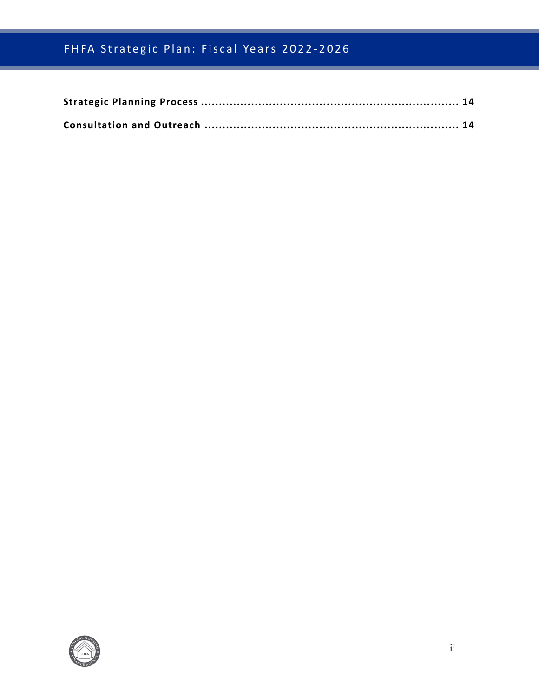# FHFA Strategic Plan: Fiscal Years 2022-2026

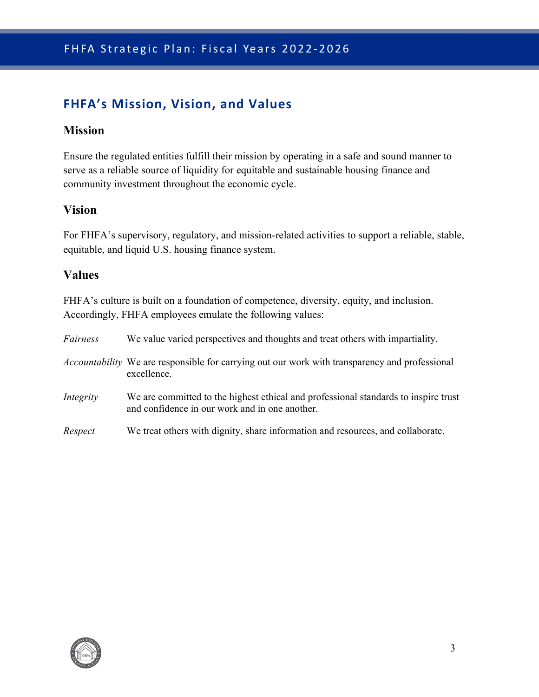### <span id="page-3-0"></span>**FHFA's Mission, Vision, and Values**

#### **Mission**

Ensure the regulated entities fulfill their mission by operating in a safe and sound manner to serve as a reliable source of liquidity for equitable and sustainable housing finance and community investment throughout the economic cycle.

#### **Vision**

For FHFA's supervisory, regulatory, and mission-related activities to support a reliable, stable, equitable, and liquid U.S. housing finance system.

#### **Values**

FHFA's culture is built on a foundation of competence, diversity, equity, and inclusion. Accordingly, FHFA employees emulate the following values:

| Fairness  | We value varied perspectives and thoughts and treat others with impartiality.                                                         |
|-----------|---------------------------------------------------------------------------------------------------------------------------------------|
|           | <i>Accountability</i> We are responsible for carrying out our work with transparency and professional<br>excellence.                  |
| Integrity | We are committed to the highest ethical and professional standards to inspire trust<br>and confidence in our work and in one another. |
| Respect   | We treat others with dignity, share information and resources, and collaborate.                                                       |

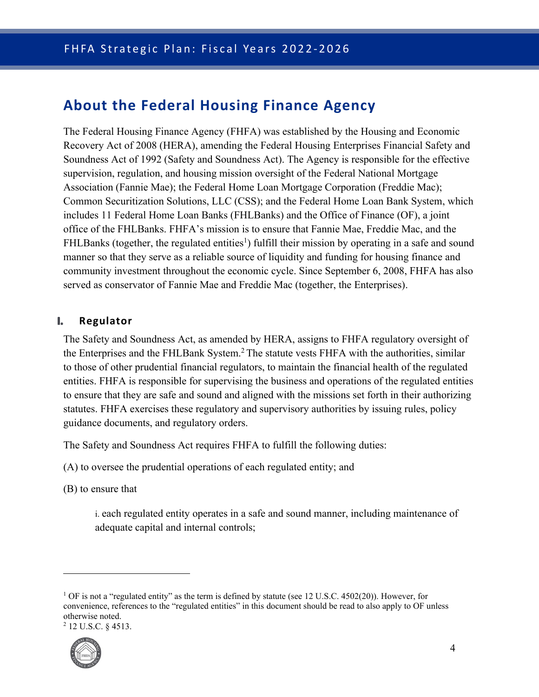# <span id="page-4-0"></span>**About the Federal Housing Finance Agency**

The Federal Housing Finance Agency (FHFA) was established by the Housing and Economic Recovery Act of 2008 (HERA), amending the Federal Housing Enterprises Financial Safety and Soundness Act of 1992 (Safety and Soundness Act). The Agency is responsible for the effective supervision, regulation, and housing mission oversight of the Federal National Mortgage Association (Fannie Mae); the Federal Home Loan Mortgage Corporation (Freddie Mac); Common Securitization Solutions, LLC (CSS); and the Federal Home Loan Bank System, which includes 11 Federal Home Loan Banks (FHLBanks) and the Office of Finance (OF), a joint office of the FHLBanks. FHFA's mission is to ensure that Fannie Mae, Freddie Mac, and the FHLBanks (together, the regulated entities<sup>[1](#page-4-2)</sup>) fulfill their mission by operating in a safe and sound manner so that they serve as a reliable source of liquidity and funding for housing finance and community investment throughout the economic cycle. Since September 6, 2008, FHFA has also served as conservator of Fannie Mae and Freddie Mac (together, the Enterprises).

#### <span id="page-4-1"></span>**I. Regulator**

The Safety and Soundness Act, as amended by HERA, assigns to FHFA regulatory oversight of the Enterprises and the FHLBank System.<sup>[2](#page-4-3)</sup> The statute vests FHFA with the authorities, similar to those of other prudential financial regulators, to maintain the financial health of the regulated entities. FHFA is responsible for supervising the business and operations of the regulated entities to ensure that they are safe and sound and aligned with the missions set forth in their authorizing statutes. FHFA exercises these regulatory and supervisory authorities by issuing rules, policy guidance documents, and regulatory orders.

The Safety and Soundness Act requires FHFA to fulfill the following duties:

- (A) to oversee the prudential operations of each regulated entity; and
- (B) to ensure that

i. each regulated entity operates in a safe and sound manner, including maintenance of adequate capital and internal controls;

<span id="page-4-3"></span> $^{2}$  12 U.S.C. § 4513.



<span id="page-4-2"></span><sup>&</sup>lt;sup>1</sup> OF is not a "regulated entity" as the term is defined by statute (see 12 U.S.C. 4502(20)). However, for convenience, references to the "regulated entities" in this document should be read to also apply to OF unless otherwise noted.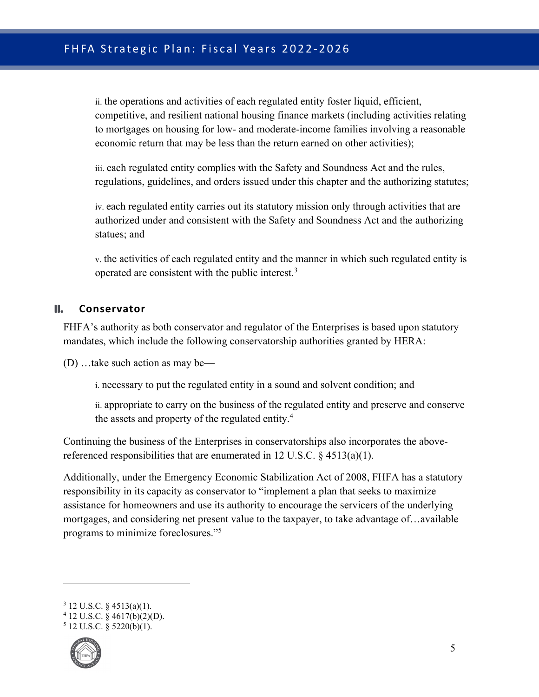ii. the operations and activities of each regulated entity foster liquid, efficient, competitive, and resilient national housing finance markets (including activities relating to mortgages on housing for low- and moderate-income families involving a reasonable economic return that may be less than the return earned on other activities);

iii. each regulated entity complies with the Safety and Soundness Act and the rules, regulations, guidelines, and orders issued under this chapter and the authorizing statutes;

iv. each regulated entity carries out its statutory mission only through activities that are authorized under and consistent with the Safety and Soundness Act and the authorizing statues; and

v. the activities of each regulated entity and the manner in which such regulated entity is operated are consistent with the public interest.<sup>[3](#page-5-1)</sup>

#### **II. Conservator**

<span id="page-5-0"></span>FHFA's authority as both conservator and regulator of the Enterprises is based upon statutory mandates, which include the following conservatorship authorities granted by HERA:

(D) …take such action as may be—

i. necessary to put the regulated entity in a sound and solvent condition; and

ii. appropriate to carry on the business of the regulated entity and preserve and conserve the assets and property of the regulated entity.<sup>[4](#page-5-2)</sup>

Continuing the business of the Enterprises in conservatorships also incorporates the abovereferenced responsibilities that are enumerated in 12 U.S.C.  $\S$  4513(a)(1).

Additionally, under the Emergency Economic Stabilization Act of 2008, FHFA has a statutory responsibility in its capacity as conservator to "implement a plan that seeks to maximize assistance for homeowners and use its authority to encourage the servicers of the underlying mortgages, and considering net present value to the taxpayer, to take advantage of…available programs to minimize foreclosures."[5](#page-5-3)

<span id="page-5-3"></span> $5$  12 U.S.C. § 5220(b)(1).



<span id="page-5-1"></span> $3$  12 U.S.C. § 4513(a)(1).

<span id="page-5-2"></span> $4$  12 U.S.C. § 4617(b)(2)(D).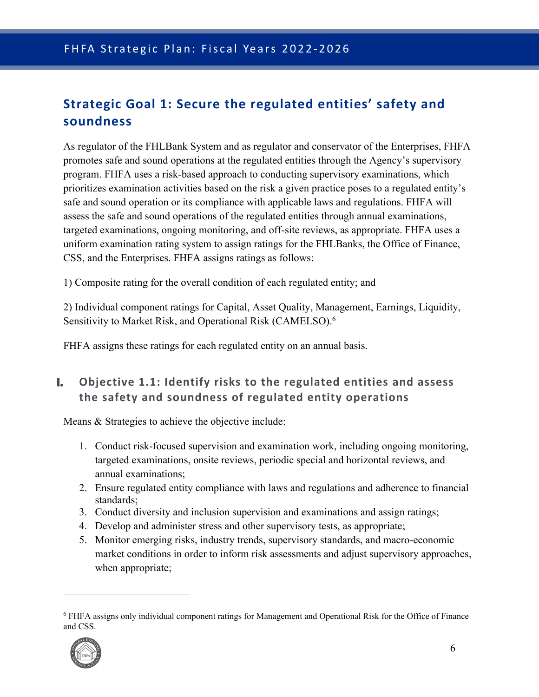# <span id="page-6-0"></span>**Strategic Goal 1: Secure the regulated entities' safety and soundness**

As regulator of the FHLBank System and as regulator and conservator of the Enterprises, FHFA promotes safe and sound operations at the regulated entities through the Agency's supervisory program. FHFA uses a risk-based approach to conducting supervisory examinations, which prioritizes examination activities based on the risk a given practice poses to a regulated entity's safe and sound operation or its compliance with applicable laws and regulations. FHFA will assess the safe and sound operations of the regulated entities through annual examinations, targeted examinations, ongoing monitoring, and off-site reviews, as appropriate. FHFA uses a uniform examination rating system to assign ratings for the FHLBanks, the Office of Finance, CSS, and the Enterprises. FHFA assigns ratings as follows:

1) Composite rating for the overall condition of each regulated entity; and

2) Individual component ratings for Capital, Asset Quality, Management, Earnings, Liquidity, Sensitivity to Market Risk, and Operational Risk (CAMELSO).<sup>[6](#page-6-2)</sup>

FHFA assigns these ratings for each regulated entity on an annual basis.

### <span id="page-6-1"></span>**I. Objective 1.1: Identify risks to the regulated entities and assess the safety and soundness of regulated entity operations**

- 1. Conduct risk-focused supervision and examination work, including ongoing monitoring, targeted examinations, onsite reviews, periodic special and horizontal reviews, and annual examinations;
- 2. Ensure regulated entity compliance with laws and regulations and adherence to financial standards;
- 3. Conduct diversity and inclusion supervision and examinations and assign ratings;
- 4. Develop and administer stress and other supervisory tests, as appropriate;
- 5. Monitor emerging risks, industry trends, supervisory standards, and macro-economic market conditions in order to inform risk assessments and adjust supervisory approaches, when appropriate;

<span id="page-6-2"></span><sup>6</sup> FHFA assigns only individual component ratings for Management and Operational Risk for the Office of Finance and CSS.

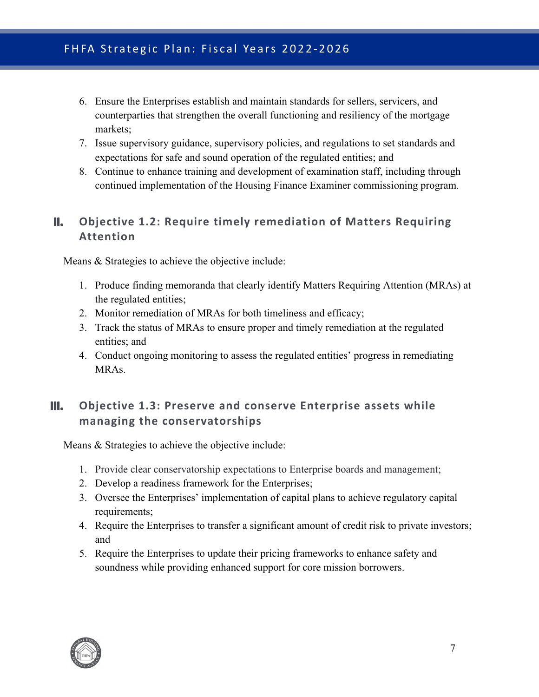- 6. Ensure the Enterprises establish and maintain standards for sellers, servicers, and counterparties that strengthen the overall functioning and resiliency of the mortgage markets;
- 7. Issue supervisory guidance, supervisory policies, and regulations to set standards and expectations for safe and sound operation of the regulated entities; and
- 8. Continue to enhance training and development of examination staff, including through continued implementation of the Housing Finance Examiner commissioning program.

### <span id="page-7-0"></span>**II. Objective 1.2: Require timely remediation of Matters Requiring Attention**

Means & Strategies to achieve the objective include:

- 1. Produce finding memoranda that clearly identify Matters Requiring Attention (MRAs) at the regulated entities;
- 2. Monitor remediation of MRAs for both timeliness and efficacy;
- 3. Track the status of MRAs to ensure proper and timely remediation at the regulated entities; and
- 4. Conduct ongoing monitoring to assess the regulated entities' progress in remediating MRAs.

### <span id="page-7-1"></span>**III. Objective 1.3: Preserve and conserve Enterprise assets while managing the conservatorships**

- 1. Provide clear conservatorship expectations to Enterprise boards and management;
- 2. Develop a readiness framework for the Enterprises;
- 3. Oversee the Enterprises' implementation of capital plans to achieve regulatory capital requirements;
- 4. Require the Enterprises to transfer a significant amount of credit risk to private investors; and
- 5. Require the Enterprises to update their pricing frameworks to enhance safety and soundness while providing enhanced support for core mission borrowers.

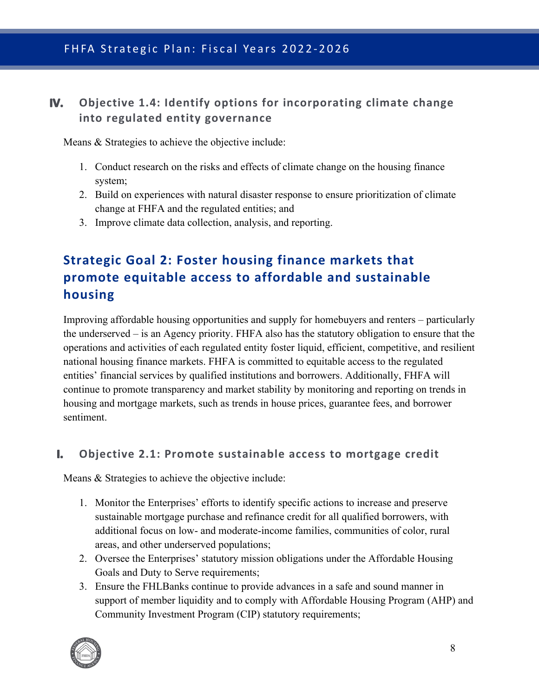### <span id="page-8-0"></span>**IV. Objective 1.4: Identify options for incorporating climate change into regulated entity governance**

Means & Strategies to achieve the objective include:

- 1. Conduct research on the risks and effects of climate change on the housing finance system;
- 2. Build on experiences with natural disaster response to ensure prioritization of climate change at FHFA and the regulated entities; and
- 3. Improve climate data collection, analysis, and reporting.

# <span id="page-8-1"></span>**Strategic Goal 2: Foster housing finance markets that promote equitable access to affordable and sustainable housing**

Improving affordable housing opportunities and supply for homebuyers and renters – particularly the underserved – is an Agency priority. FHFA also has the statutory obligation to ensure that the operations and activities of each regulated entity foster liquid, efficient, competitive, and resilient national housing finance markets. FHFA is committed to equitable access to the regulated entities' financial services by qualified institutions and borrowers. Additionally, FHFA will continue to promote transparency and market stability by monitoring and reporting on trends in housing and mortgage markets, such as trends in house prices, guarantee fees, and borrower sentiment.

#### <span id="page-8-2"></span>**I. Objective 2.1: Promote sustainable access to mortgage credit**

- 1. Monitor the Enterprises' efforts to identify specific actions to increase and preserve sustainable mortgage purchase and refinance credit for all qualified borrowers, with additional focus on low- and moderate-income families, communities of color, rural areas, and other underserved populations;
- 2. Oversee the Enterprises' statutory mission obligations under the Affordable Housing Goals and Duty to Serve requirements;
- 3. Ensure the FHLBanks continue to provide advances in a safe and sound manner in support of member liquidity and to comply with Affordable Housing Program (AHP) and Community Investment Program (CIP) statutory requirements;

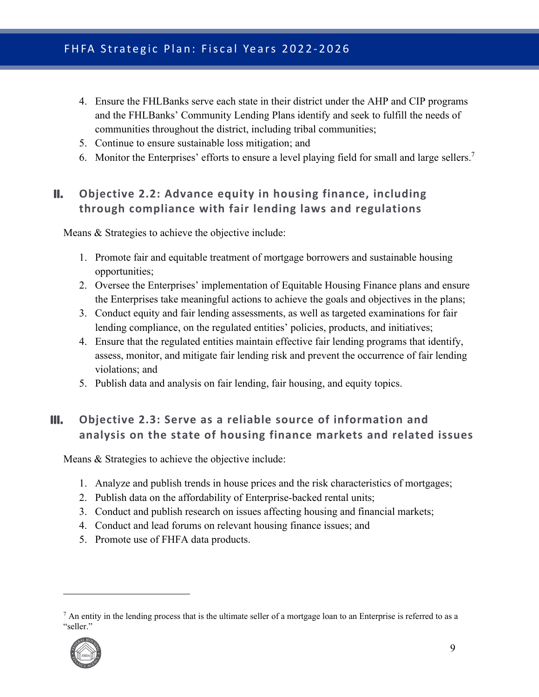# FHFA Strategic Plan: Fiscal Years 2022-2026

- 4. Ensure the FHLBanks serve each state in their district under the AHP and CIP programs and the FHLBanks' Community Lending Plans identify and seek to fulfill the needs of communities throughout the district, including tribal communities;
- 5. Continue to ensure sustainable loss mitigation; and
- <span id="page-9-0"></span>6. Monitor the Enterprises' efforts to ensure a level playing field for small and large sellers.<sup>[7](#page-9-2)</sup>

### **II. Objective 2.2: Advance equity in housing finance, including through compliance with fair lending laws and regulations**

Means & Strategies to achieve the objective include:

- 1. Promote fair and equitable treatment of mortgage borrowers and sustainable housing opportunities;
- 2. Oversee the Enterprises' implementation of Equitable Housing Finance plans and ensure the Enterprises take meaningful actions to achieve the goals and objectives in the plans;
- 3. Conduct equity and fair lending assessments, as well as targeted examinations for fair lending compliance, on the regulated entities' policies, products, and initiatives;
- 4. Ensure that the regulated entities maintain effective fair lending programs that identify, assess, monitor, and mitigate fair lending risk and prevent the occurrence of fair lending violations; and
- <span id="page-9-1"></span>5. Publish data and analysis on fair lending, fair housing, and equity topics.

### **III. Objective 2.3: Serve as a reliable source of information and analysis on the state of housing finance markets and related issues**

- 1. Analyze and publish trends in house prices and the risk characteristics of mortgages;
- 2. Publish data on the affordability of Enterprise-backed rental units;
- 3. Conduct and publish research on issues affecting housing and financial markets;
- 4. Conduct and lead forums on relevant housing finance issues; and
- 5. Promote use of FHFA data products.

<span id="page-9-2"></span> $<sup>7</sup>$  An entity in the lending process that is the ultimate seller of a mortgage loan to an Enterprise is referred to as a</sup> "seller."

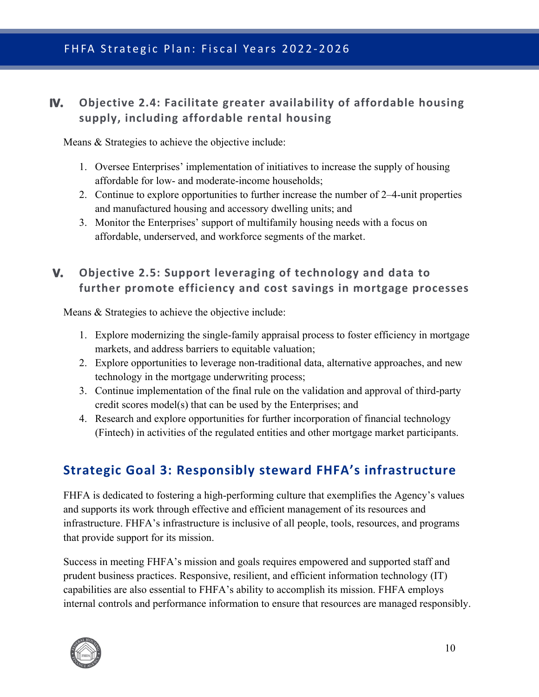### <span id="page-10-0"></span>**IV. Objective 2.4: Facilitate greater availability of affordable housing supply, including affordable rental housing**

Means & Strategies to achieve the objective include:

- 1. Oversee Enterprises' implementation of initiatives to increase the supply of housing affordable for low- and moderate-income households;
- 2. Continue to explore opportunities to further increase the number of 2–4-unit properties and manufactured housing and accessory dwelling units; and
- 3. Monitor the Enterprises' support of multifamily housing needs with a focus on affordable, underserved, and workforce segments of the market.

### <span id="page-10-1"></span>**V. Objective 2.5: Support leveraging of technology and data to further promote efficiency and cost savings in mortgage processes**

Means & Strategies to achieve the objective include:

- 1. Explore modernizing the single-family appraisal process to foster efficiency in mortgage markets, and address barriers to equitable valuation;
- 2. Explore opportunities to leverage non-traditional data, alternative approaches, and new technology in the mortgage underwriting process;
- 3. Continue implementation of the final rule on the validation and approval of third-party credit scores model(s) that can be used by the Enterprises; and
- 4. Research and explore opportunities for further incorporation of financial technology (Fintech) in activities of the regulated entities and other mortgage market participants.

# <span id="page-10-2"></span>**Strategic Goal 3: Responsibly steward FHFA's infrastructure**

FHFA is dedicated to fostering a high-performing culture that exemplifies the Agency's values and supports its work through effective and efficient management of its resources and infrastructure. FHFA's infrastructure is inclusive of all people, tools, resources, and programs that provide support for its mission.

Success in meeting FHFA's mission and goals requires empowered and supported staff and prudent business practices. Responsive, resilient, and efficient information technology (IT) capabilities are also essential to FHFA's ability to accomplish its mission. FHFA employs internal controls and performance information to ensure that resources are managed responsibly.

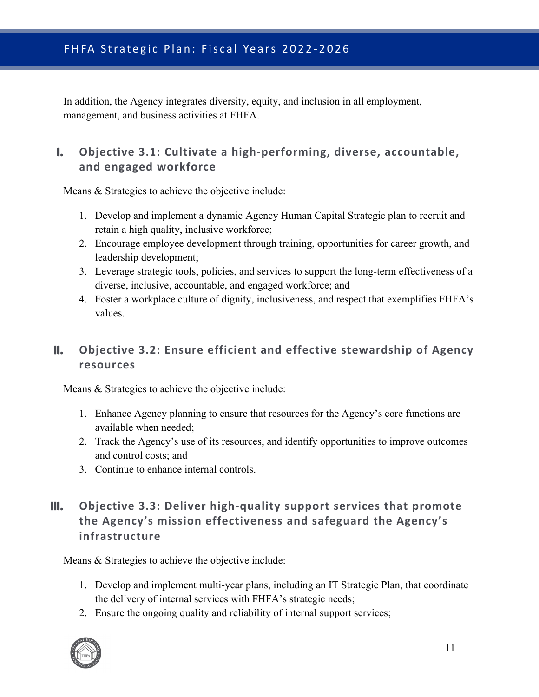In addition, the Agency integrates diversity, equity, and inclusion in all employment, management, and business activities at FHFA.

### <span id="page-11-0"></span>**I. Objective 3.1: Cultivate a high-performing, diverse, accountable, and engaged workforce**

Means & Strategies to achieve the objective include:

- 1. Develop and implement a dynamic Agency Human Capital Strategic plan to recruit and retain a high quality, inclusive workforce;
- 2. Encourage employee development through training, opportunities for career growth, and leadership development;
- 3. Leverage strategic tools, policies, and services to support the long-term effectiveness of a diverse, inclusive, accountable, and engaged workforce; and
- 4. Foster a workplace culture of dignity, inclusiveness, and respect that exemplifies FHFA's values.

### <span id="page-11-1"></span>**II. Objective 3.2: Ensure efficient and effective stewardship of Agency resources**

Means & Strategies to achieve the objective include:

- 1. Enhance Agency planning to ensure that resources for the Agency's core functions are available when needed;
- 2. Track the Agency's use of its resources, and identify opportunities to improve outcomes and control costs; and
- <span id="page-11-2"></span>3. Continue to enhance internal controls.

### **III. Objective 3.3: Deliver high-quality support services that promote the Agency's mission effectiveness and safeguard the Agency's infrastructure**

- 1. Develop and implement multi-year plans, including an IT Strategic Plan, that coordinate the delivery of internal services with FHFA's strategic needs;
- 2. Ensure the ongoing quality and reliability of internal support services;

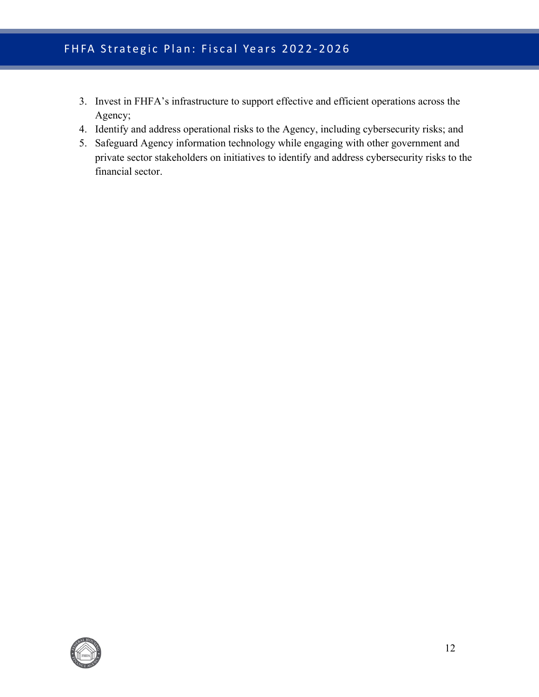# FHFA Strategic Plan: Fiscal Years 2022-2026

- 3. Invest in FHFA's infrastructure to support effective and efficient operations across the Agency;
- 4. Identify and address operational risks to the Agency, including cybersecurity risks; and
- 5. Safeguard Agency information technology while engaging with other government and private sector stakeholders on initiatives to identify and address cybersecurity risks to the financial sector.

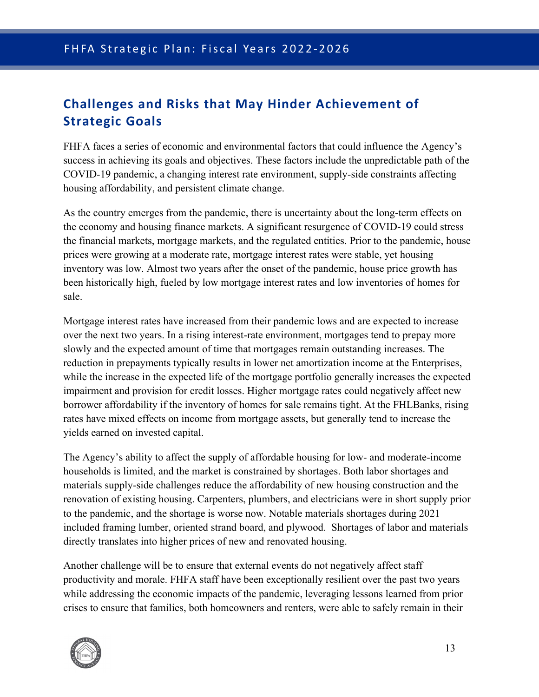# <span id="page-13-0"></span>**Challenges and Risks that May Hinder Achievement of Strategic Goals**

FHFA faces a series of economic and environmental factors that could influence the Agency's success in achieving its goals and objectives. These factors include the unpredictable path of the COVID-19 pandemic, a changing interest rate environment, supply-side constraints affecting housing affordability, and persistent climate change.

As the country emerges from the pandemic, there is uncertainty about the long-term effects on the economy and housing finance markets. A significant resurgence of COVID-19 could stress the financial markets, mortgage markets, and the regulated entities. Prior to the pandemic, house prices were growing at a moderate rate, mortgage interest rates were stable, yet housing inventory was low. Almost two years after the onset of the pandemic, house price growth has been historically high, fueled by low mortgage interest rates and low inventories of homes for sale.

Mortgage interest rates have increased from their pandemic lows and are expected to increase over the next two years. In a rising interest-rate environment, mortgages tend to prepay more slowly and the expected amount of time that mortgages remain outstanding increases. The reduction in prepayments typically results in lower net amortization income at the Enterprises, while the increase in the expected life of the mortgage portfolio generally increases the expected impairment and provision for credit losses. Higher mortgage rates could negatively affect new borrower affordability if the inventory of homes for sale remains tight. At the FHLBanks, rising rates have mixed effects on income from mortgage assets, but generally tend to increase the yields earned on invested capital.

The Agency's ability to affect the supply of affordable housing for low- and moderate-income households is limited, and the market is constrained by shortages. Both labor shortages and materials supply-side challenges reduce the affordability of new housing construction and the renovation of existing housing. Carpenters, plumbers, and electricians were in short supply prior to the pandemic, and the shortage is worse now. Notable materials shortages during 2021 included framing lumber, oriented strand board, and plywood. Shortages of labor and materials directly translates into higher prices of new and renovated housing.

Another challenge will be to ensure that external events do not negatively affect staff productivity and morale. FHFA staff have been exceptionally resilient over the past two years while addressing the economic impacts of the pandemic, leveraging lessons learned from prior crises to ensure that families, both homeowners and renters, were able to safely remain in their